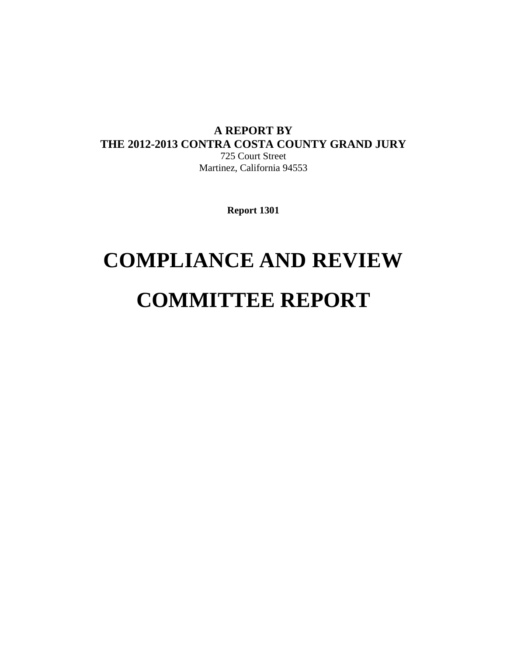# **A REPORT BY THE 2012-2013 CONTRA COSTA COUNTY GRAND JURY**

725 Court Street Martinez, California 94553

**Report 1301** 

# **COMPLIANCE AND REVIEW COMMITTEE REPORT**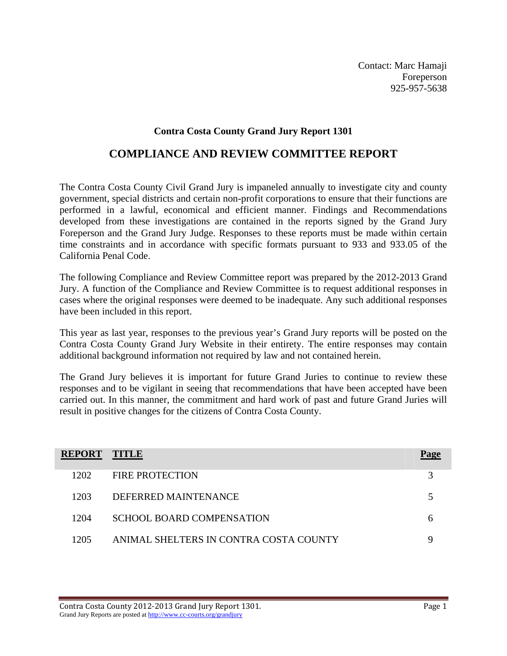Contact: Marc Hamaji Foreperson 925-957-5638

#### **Contra Costa County Grand Jury Report 1301**

## **COMPLIANCE AND REVIEW COMMITTEE REPORT**

The Contra Costa County Civil Grand Jury is impaneled annually to investigate city and county government, special districts and certain non-profit corporations to ensure that their functions are performed in a lawful, economical and efficient manner. Findings and Recommendations developed from these investigations are contained in the reports signed by the Grand Jury Foreperson and the Grand Jury Judge. Responses to these reports must be made within certain time constraints and in accordance with specific formats pursuant to 933 and 933.05 of the California Penal Code.

The following Compliance and Review Committee report was prepared by the 2012-2013 Grand Jury. A function of the Compliance and Review Committee is to request additional responses in cases where the original responses were deemed to be inadequate. Any such additional responses have been included in this report.

This year as last year, responses to the previous year's Grand Jury reports will be posted on the Contra Costa County Grand Jury Website in their entirety. The entire responses may contain additional background information not required by law and not contained herein.

The Grand Jury believes it is important for future Grand Juries to continue to review these responses and to be vigilant in seeing that recommendations that have been accepted have been carried out. In this manner, the commitment and hard work of past and future Grand Juries will result in positive changes for the citizens of Contra Costa County.

| <b>REPORT</b> | <b>TITLE</b>                           | Page |
|---------------|----------------------------------------|------|
| 1202          | FIRE PROTECTION                        |      |
| 1203          | DEFERRED MAINTENANCE                   |      |
| 1204          | SCHOOL BOARD COMPENSATION              |      |
| 1205          | ANIMAL SHELTERS IN CONTRA COSTA COUNTY |      |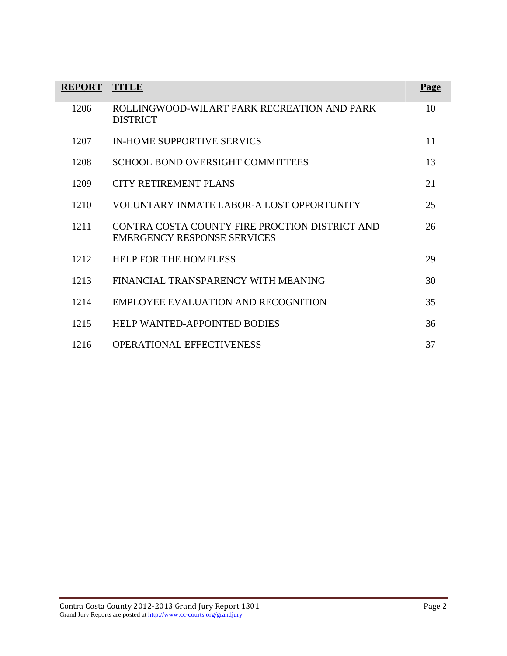| <b>REPORT</b> | <b>TITLE</b>                                                                         | Page |
|---------------|--------------------------------------------------------------------------------------|------|
| 1206          | ROLLINGWOOD-WILART PARK RECREATION AND PARK<br><b>DISTRICT</b>                       | 10   |
| 1207          | <b>IN-HOME SUPPORTIVE SERVICS</b>                                                    | 11   |
| 1208          | <b>SCHOOL BOND OVERSIGHT COMMITTEES</b>                                              | 13   |
| 1209          | CITY RETIREMENT PLANS                                                                | 21   |
| 1210          | VOLUNTARY INMATE LABOR-A LOST OPPORTUNITY                                            | 25   |
| 1211          | CONTRA COSTA COUNTY FIRE PROCTION DISTRICT AND<br><b>EMERGENCY RESPONSE SERVICES</b> | 26   |
| 1212          | <b>HELP FOR THE HOMELESS</b>                                                         | 29   |
| 1213          | FINANCIAL TRANSPARENCY WITH MEANING                                                  | 30   |
| 1214          | EMPLOYEE EVALUATION AND RECOGNITION                                                  | 35   |
| 1215          | <b>HELP WANTED-APPOINTED BODIES</b>                                                  | 36   |
| 1216          | <b>OPERATIONAL EFFECTIVENESS</b>                                                     | 37   |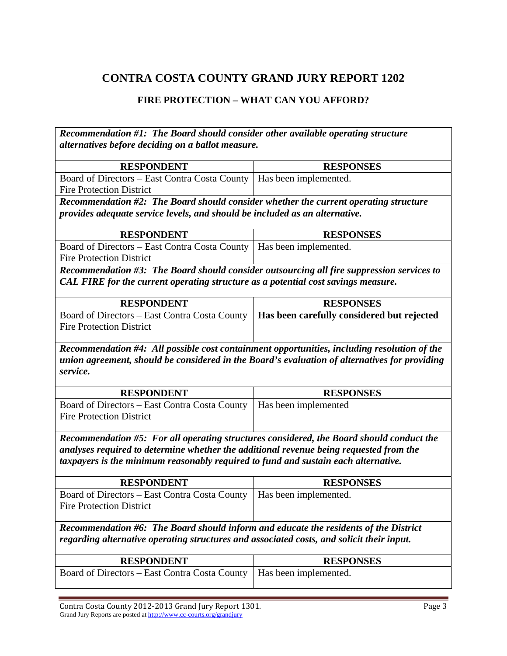## **FIRE PROTECTION – WHAT CAN YOU AFFORD?**

| Recommendation #1: The Board should consider other available operating structure                                                                                                                         |                                            |  |
|----------------------------------------------------------------------------------------------------------------------------------------------------------------------------------------------------------|--------------------------------------------|--|
| alternatives before deciding on a ballot measure.                                                                                                                                                        |                                            |  |
| <b>RESPONDENT</b>                                                                                                                                                                                        | <b>RESPONSES</b>                           |  |
| Board of Directors - East Contra Costa County                                                                                                                                                            | Has been implemented.                      |  |
| <b>Fire Protection District</b>                                                                                                                                                                          |                                            |  |
| Recommendation #2: The Board should consider whether the current operating structure                                                                                                                     |                                            |  |
| provides adequate service levels, and should be included as an alternative.                                                                                                                              |                                            |  |
| <b>RESPONDENT</b>                                                                                                                                                                                        | <b>RESPONSES</b>                           |  |
| Board of Directors - East Contra Costa County<br><b>Fire Protection District</b>                                                                                                                         | Has been implemented.                      |  |
| Recommendation #3: The Board should consider outsourcing all fire suppression services to<br>CAL FIRE for the current operating structure as a potential cost savings measure.                           |                                            |  |
| <b>RESPONDENT</b>                                                                                                                                                                                        | <b>RESPONSES</b>                           |  |
| Board of Directors - East Contra Costa County                                                                                                                                                            | Has been carefully considered but rejected |  |
| <b>Fire Protection District</b>                                                                                                                                                                          |                                            |  |
| Recommendation #4: All possible cost containment opportunities, including resolution of the<br>union agreement, should be considered in the Board's evaluation of alternatives for providing<br>service. |                                            |  |
| <b>RESPONDENT</b>                                                                                                                                                                                        | <b>RESPONSES</b>                           |  |
| Board of Directors - East Contra Costa County<br><b>Fire Protection District</b>                                                                                                                         | Has been implemented                       |  |
| Recommendation #5: For all operating structures considered, the Board should conduct the                                                                                                                 |                                            |  |
| analyses required to determine whether the additional revenue being requested from the                                                                                                                   |                                            |  |
| taxpayers is the minimum reasonably required to fund and sustain each alternative.                                                                                                                       |                                            |  |
| <b>RESPONDENT</b>                                                                                                                                                                                        | <b>RESPONSES</b>                           |  |
| Board of Directors – East Contra Costa County                                                                                                                                                            | Has been implemented.                      |  |
| <b>Fire Protection District</b>                                                                                                                                                                          |                                            |  |
| Recommendation #6: The Board should inform and educate the residents of the District                                                                                                                     |                                            |  |
| regarding alternative operating structures and associated costs, and solicit their input.                                                                                                                |                                            |  |
| <b>RESPONDENT</b>                                                                                                                                                                                        | <b>RESPONSES</b>                           |  |
| Board of Directors – East Contra Costa County                                                                                                                                                            | Has been implemented.                      |  |

Contra Costa County 2012‐2013 Grand Jury Report 1301. Page 3 Grand Jury Reports are posted at http://www.cc-courts.org/grandjury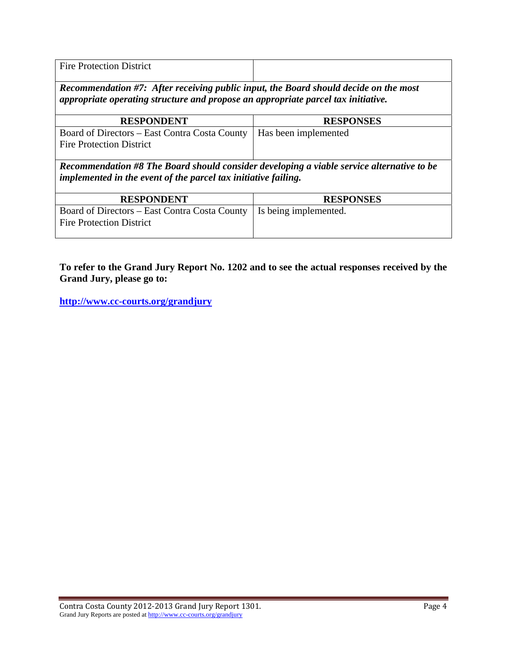| <b>Fire Protection District</b><br>. |  |
|--------------------------------------|--|

*Recommendation #7: After receiving public input, the Board should decide on the most appropriate operating structure and propose an appropriate parcel tax initiative.*

| <b>RESPONDENT</b>                                                                                       | <b>RESPONSES</b> |
|---------------------------------------------------------------------------------------------------------|------------------|
| Board of Directors – East Contra Costa County   Has been implemented<br><b>Fire Protection District</b> |                  |

*Recommendation #8 The Board should consider developing a viable service alternative to be implemented in the event of the parcel tax initiative failing.*

| <b>RESPONDENT</b>                                                                                        | <b>RESPONSES</b> |
|----------------------------------------------------------------------------------------------------------|------------------|
| Board of Directors – East Contra Costa County   Is being implemented.<br><b>Fire Protection District</b> |                  |

**To refer to the Grand Jury Report No. 1202 and to see the actual responses received by the Grand Jury, please go to:**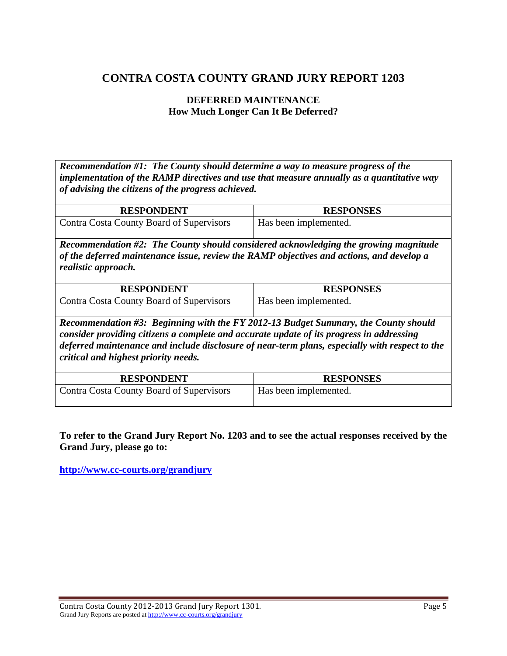#### **DEFERRED MAINTENANCE How Much Longer Can It Be Deferred?**

*Recommendation #1: The County should determine a way to measure progress of the implementation of the RAMP directives and use that measure annually as a quantitative way of advising the citizens of the progress achieved.* 

| <b>RESPONDENT</b>                        | <b>RESPONSES</b>      |
|------------------------------------------|-----------------------|
| Contra Costa County Board of Supervisors | Has been implemented. |

*Recommendation #2: The County should considered acknowledging the growing magnitude of the deferred maintenance issue, review the RAMP objectives and actions, and develop a realistic approach.*

| <b>RESPONDENT</b>                        | <b>RESPONSES</b>      |
|------------------------------------------|-----------------------|
| Contra Costa County Board of Supervisors | Has been implemented. |

*Recommendation #3: Beginning with the FY 2012-13 Budget Summary, the County should consider providing citizens a complete and accurate update of its progress in addressing deferred maintenance and include disclosure of near-term plans, especially with respect to the critical and highest priority needs.* 

| <b>RESPONDENT</b>                        | <b>RESPONSES</b>      |
|------------------------------------------|-----------------------|
| Contra Costa County Board of Supervisors | Has been implemented. |

**To refer to the Grand Jury Report No. 1203 and to see the actual responses received by the Grand Jury, please go to:**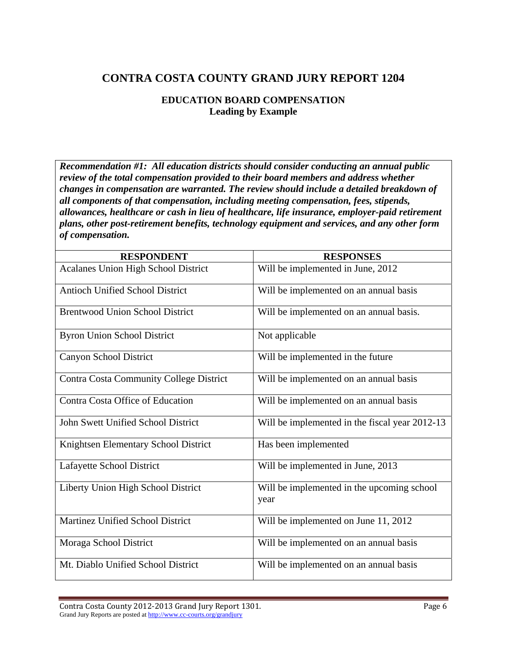## **EDUCATION BOARD COMPENSATION Leading by Example**

*Recommendation #1: All education districts should consider conducting an annual public review of the total compensation provided to their board members and address whether changes in compensation are warranted. The review should include a detailed breakdown of all components of that compensation, including meeting compensation, fees, stipends, allowances, healthcare or cash in lieu of healthcare, life insurance, employer-paid retirement plans, other post-retirement benefits, technology equipment and services, and any other form of compensation.* 

| <b>RESPONDENT</b>                              | <b>RESPONSES</b>                                   |
|------------------------------------------------|----------------------------------------------------|
| <b>Acalanes Union High School District</b>     | Will be implemented in June, 2012                  |
| <b>Antioch Unified School District</b>         | Will be implemented on an annual basis             |
| <b>Brentwood Union School District</b>         | Will be implemented on an annual basis.            |
| <b>Byron Union School District</b>             | Not applicable                                     |
| Canyon School District                         | Will be implemented in the future                  |
| <b>Contra Costa Community College District</b> | Will be implemented on an annual basis             |
| Contra Costa Office of Education               | Will be implemented on an annual basis             |
| John Swett Unified School District             | Will be implemented in the fiscal year 2012-13     |
| Knightsen Elementary School District           | Has been implemented                               |
| Lafayette School District                      | Will be implemented in June, 2013                  |
| Liberty Union High School District             | Will be implemented in the upcoming school<br>year |
| Martinez Unified School District               | Will be implemented on June 11, 2012               |
| Moraga School District                         | Will be implemented on an annual basis             |
| Mt. Diablo Unified School District             | Will be implemented on an annual basis             |

Contra Costa County 2012‐2013 Grand Jury Report 1301. Page 6 Grand Jury Reports are posted at http://www.cc-courts.org/grandjury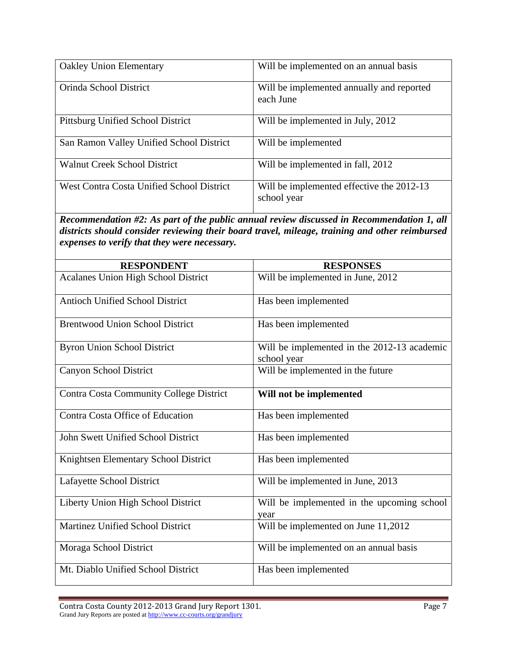| <b>Oakley Union Elementary</b>                   | Will be implemented on an annual basis                   |
|--------------------------------------------------|----------------------------------------------------------|
| Orinda School District                           | Will be implemented annually and reported<br>each June   |
| <b>Pittsburg Unified School District</b>         | Will be implemented in July, 2012                        |
| San Ramon Valley Unified School District         | Will be implemented                                      |
| <b>Walnut Creek School District</b>              | Will be implemented in fall, 2012                        |
| <b>West Contra Costa Unified School District</b> | Will be implemented effective the 2012-13<br>school year |

*Recommendation #2: As part of the public annual review discussed in Recommendation 1, all districts should consider reviewing their board travel, mileage, training and other reimbursed expenses to verify that they were necessary.* 

| <b>RESPONDENT</b>                              | <b>RESPONSES</b>                                           |
|------------------------------------------------|------------------------------------------------------------|
| <b>Acalanes Union High School District</b>     | Will be implemented in June, 2012                          |
| <b>Antioch Unified School District</b>         | Has been implemented                                       |
| <b>Brentwood Union School District</b>         | Has been implemented                                       |
| <b>Byron Union School District</b>             | Will be implemented in the 2012-13 academic<br>school year |
| Canyon School District                         | Will be implemented in the future                          |
| <b>Contra Costa Community College District</b> | Will not be implemented                                    |
| Contra Costa Office of Education               | Has been implemented                                       |
| John Swett Unified School District             | Has been implemented                                       |
| Knightsen Elementary School District           | Has been implemented                                       |
| Lafayette School District                      | Will be implemented in June, 2013                          |
| Liberty Union High School District             | Will be implemented in the upcoming school<br>year         |
| Martinez Unified School District               | Will be implemented on June 11,2012                        |
| Moraga School District                         | Will be implemented on an annual basis                     |
| Mt. Diablo Unified School District             | Has been implemented                                       |

Contra Costa County 2012-2013 Grand Jury Report 1301. <br>
Page 7 Grand Jury Reports are posted at http://www.cc-courts.org/grandjury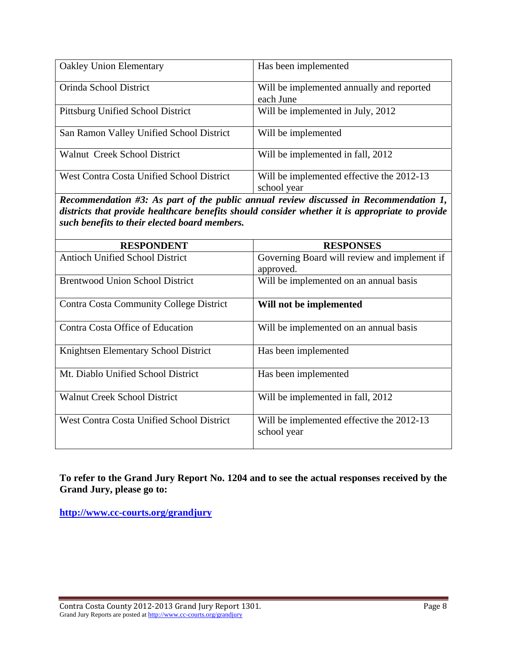| <b>Oakley Union Elementary</b>                   | Has been implemented                                     |
|--------------------------------------------------|----------------------------------------------------------|
| Orinda School District                           | Will be implemented annually and reported<br>each June   |
| Pittsburg Unified School District                | Will be implemented in July, 2012                        |
| San Ramon Valley Unified School District         | Will be implemented                                      |
| Walnut Creek School District                     | Will be implemented in fall, 2012                        |
| <b>West Contra Costa Unified School District</b> | Will be implemented effective the 2012-13<br>school year |

*Recommendation #3: As part of the public annual review discussed in Recommendation 1, districts that provide healthcare benefits should consider whether it is appropriate to provide such benefits to their elected board members.* 

| <b>RESPONDENT</b>                                | <b>RESPONSES</b>                                         |
|--------------------------------------------------|----------------------------------------------------------|
| <b>Antioch Unified School District</b>           | Governing Board will review and implement if             |
|                                                  | approved.                                                |
| <b>Brentwood Union School District</b>           | Will be implemented on an annual basis                   |
| <b>Contra Costa Community College District</b>   | Will not be implemented                                  |
| Contra Costa Office of Education                 | Will be implemented on an annual basis                   |
| Knightsen Elementary School District             | Has been implemented                                     |
| Mt. Diablo Unified School District               | Has been implemented                                     |
| <b>Walnut Creek School District</b>              | Will be implemented in fall, 2012                        |
| <b>West Contra Costa Unified School District</b> | Will be implemented effective the 2012-13<br>school year |

**To refer to the Grand Jury Report No. 1204 and to see the actual responses received by the Grand Jury, please go to:**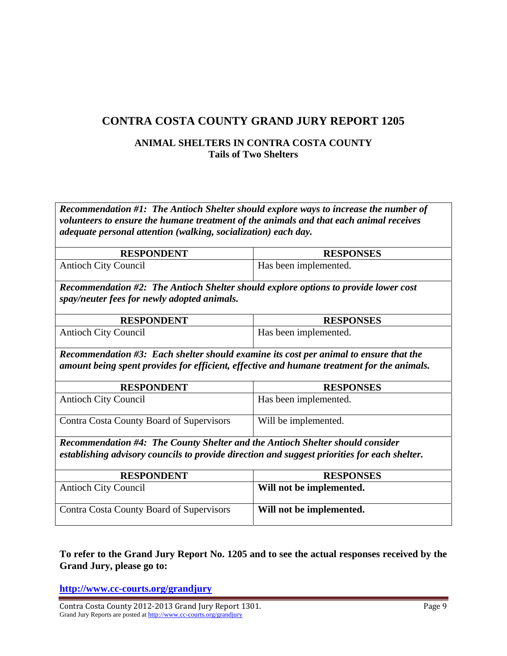## **ANIMAL SHELTERS IN CONTRA COSTA COUNTY Tails of Two Shelters**

*Recommendation #1: The Antioch Shelter should explore ways to increase the number of volunteers to ensure the humane treatment of the animals and that each animal receives adequate personal attention (walking, socialization) each day.* 

| <b>RESPONDENT</b>                                                                                                                                                                   | <b>RESPONSES</b>         |  |
|-------------------------------------------------------------------------------------------------------------------------------------------------------------------------------------|--------------------------|--|
| <b>Antioch City Council</b>                                                                                                                                                         | Has been implemented.    |  |
| <b>Recommendation #2: The Antioch Shelter should explore options to provide lower cost</b><br>spay/neuter fees for newly adopted animals.                                           |                          |  |
| <b>RESPONDENT</b>                                                                                                                                                                   | <b>RESPONSES</b>         |  |
| <b>Antioch City Council</b>                                                                                                                                                         | Has been implemented.    |  |
| Recommendation #3: Each shelter should examine its cost per animal to ensure that the<br>amount being spent provides for efficient, effective and humane treatment for the animals. |                          |  |
| <b>RESPONDENT</b>                                                                                                                                                                   | <b>RESPONSES</b>         |  |
| <b>Antioch City Council</b>                                                                                                                                                         | Has been implemented.    |  |
| Contra Costa County Board of Supervisors                                                                                                                                            | Will be implemented.     |  |
| <b>Recommendation #4: The County Shelter and the Antioch Shelter should consider</b>                                                                                                |                          |  |
| establishing advisory councils to provide direction and suggest priorities for each shelter.                                                                                        |                          |  |
| <b>RESPONDENT</b>                                                                                                                                                                   | <b>RESPONSES</b>         |  |
| <b>Antioch City Council</b>                                                                                                                                                         | Will not be implemented. |  |

**To refer to the Grand Jury Report No. 1205 and to see the actual responses received by the Grand Jury, please go to:** 

Contra Costa County Board of Supervisors **Will not be implemented.** 

**<http://www.cc-courts.org/grandjury>**

Contra Costa County 2012‐2013 Grand Jury Report 1301. Page 9 Grand Jury Reports are posted at http://www.cc-courts.org/grandjury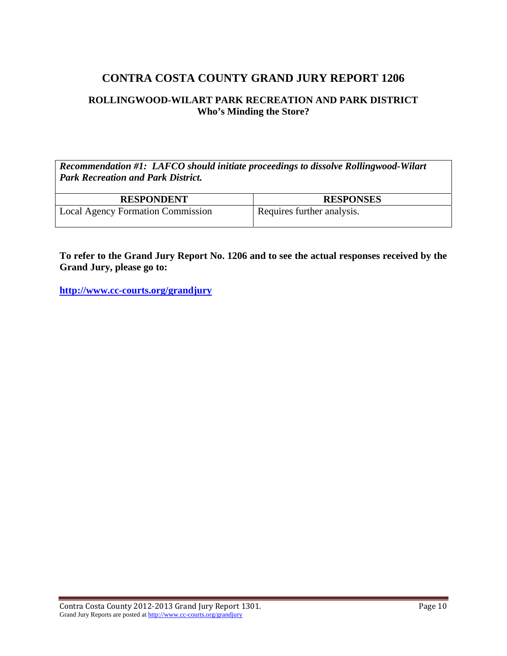#### **ROLLINGWOOD-WILART PARK RECREATION AND PARK DISTRICT Who's Minding the Store?**

*Recommendation #1: LAFCO should initiate proceedings to dissolve Rollingwood-Wilart Park Recreation and Park District.* 

| <b>RESPONDENT</b>                        | <b>RESPONSES</b>           |
|------------------------------------------|----------------------------|
| <b>Local Agency Formation Commission</b> | Requires further analysis. |

**To refer to the Grand Jury Report No. 1206 and to see the actual responses received by the Grand Jury, please go to:**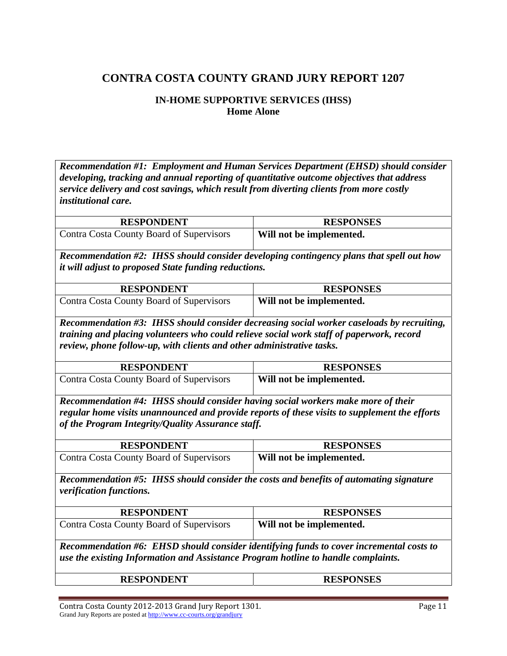#### **IN-HOME SUPPORTIVE SERVICES (IHSS) Home Alone**

*Recommendation #1: Employment and Human Services Department (EHSD) should consider developing, tracking and annual reporting of quantitative outcome objectives that address service delivery and cost savings, which result from diverting clients from more costly institutional care.* 

| <b>RESPONDENT</b>                                                                                                                                      | <b>RESPONSES</b>         |  |
|--------------------------------------------------------------------------------------------------------------------------------------------------------|--------------------------|--|
| Contra Costa County Board of Supervisors                                                                                                               | Will not be implemented. |  |
| Recommendation #2: IHSS should consider developing contingency plans that spell out how<br><i>it will adjust to proposed State funding reductions.</i> |                          |  |
| <b>RESPONDENT</b>                                                                                                                                      | <b>RESPONSES</b>         |  |
| Contra Costa County Board of Supervisors                                                                                                               | Will not be implemented. |  |

*Recommendation #3: IHSS should consider decreasing social worker caseloads by recruiting, training and placing volunteers who could relieve social work staff of paperwork, record review, phone follow-up, with clients and other administrative tasks.* 

| <b>RESPONDENT</b>                        | <b>RESPONSES</b>         |
|------------------------------------------|--------------------------|
| Contra Costa County Board of Supervisors | Will not be implemented. |

*Recommendation #4: IHSS should consider having social workers make more of their regular home visits unannounced and provide reports of these visits to supplement the efforts of the Program Integrity/Quality Assurance staff.* 

| <b>RESPONDENT</b>                                                                                                        | <b>RESPONSES</b>         |
|--------------------------------------------------------------------------------------------------------------------------|--------------------------|
| Contra Costa County Board of Supervisors                                                                                 | Will not be implemented. |
| Recommendation #5: IHSS should consider the costs and benefits of automating signature<br><i>verification functions.</i> |                          |

| <b>RESPONDENT</b>                                                                                                                                                            | <b>RESPONSES</b>         |
|------------------------------------------------------------------------------------------------------------------------------------------------------------------------------|--------------------------|
| Contra Costa County Board of Supervisors                                                                                                                                     | Will not be implemented. |
| Recommendation #6: EHSD should consider identifying funds to cover incremental costs to<br>use the existing Information and Assistance Program hotline to handle complaints. |                          |

|--|

Contra Costa County 2012‐2013 Grand Jury Report 1301. Page 11 Grand Jury Reports are posted at http://www.cc-courts.org/grandjury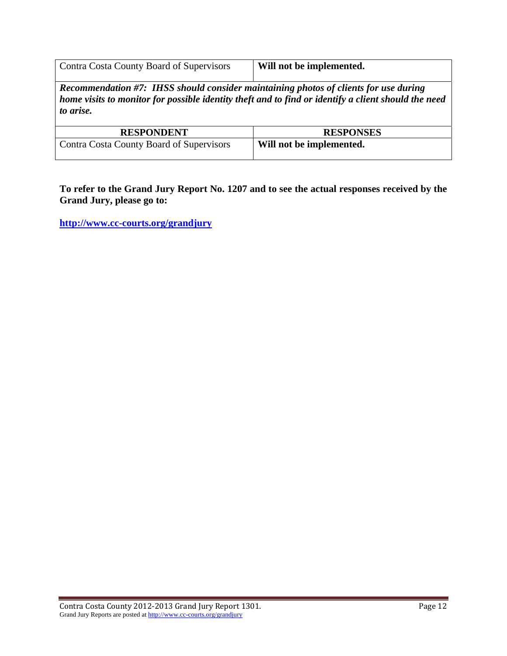| Contra Costa County Board of Supervisors | Will not be implemented. |
|------------------------------------------|--------------------------|

*Recommendation #7: IHSS should consider maintaining photos of clients for use during home visits to monitor for possible identity theft and to find or identify a client should the need to arise.* 

| <b>RESPONDENT</b>                        | <b>RESPONSES</b>         |
|------------------------------------------|--------------------------|
| Contra Costa County Board of Supervisors | Will not be implemented. |

**To refer to the Grand Jury Report No. 1207 and to see the actual responses received by the Grand Jury, please go to:**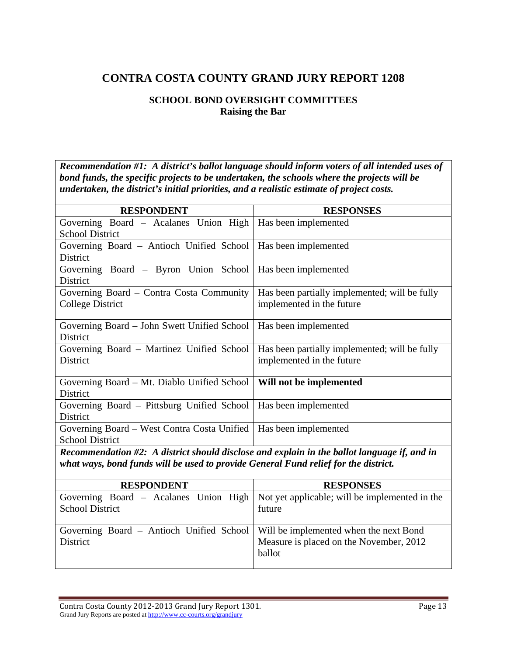#### **SCHOOL BOND OVERSIGHT COMMITTEES Raising the Bar**

*Recommendation #1: A district's ballot language should inform voters of all intended uses of bond funds, the specific projects to be undertaken, the schools where the projects will be undertaken, the district's initial priorities, and a realistic estimate of project costs.* 

| <b>RESPONDENT</b>                                                                           | <b>RESPONSES</b>                               |
|---------------------------------------------------------------------------------------------|------------------------------------------------|
| Governing Board - Acalanes Union High                                                       | Has been implemented                           |
| <b>School District</b>                                                                      |                                                |
| Governing Board - Antioch Unified School                                                    | Has been implemented                           |
| <b>District</b>                                                                             |                                                |
| Governing Board - Byron Union School                                                        | Has been implemented                           |
| District                                                                                    |                                                |
| Governing Board - Contra Costa Community                                                    | Has been partially implemented; will be fully  |
| <b>College District</b>                                                                     | implemented in the future                      |
|                                                                                             |                                                |
| Governing Board - John Swett Unified School                                                 | Has been implemented                           |
| District                                                                                    |                                                |
| Governing Board - Martinez Unified School                                                   | Has been partially implemented; will be fully  |
| District                                                                                    | implemented in the future                      |
|                                                                                             |                                                |
| Governing Board – Mt. Diablo Unified School                                                 | Will not be implemented                        |
| District                                                                                    |                                                |
| Governing Board - Pittsburg Unified School                                                  | Has been implemented                           |
| <b>District</b>                                                                             |                                                |
| Governing Board - West Contra Costa Unified                                                 | Has been implemented                           |
| <b>School District</b>                                                                      |                                                |
| Recommendation #2: A district should disclose and explain in the ballot language if, and in |                                                |
| what ways, bond funds will be used to provide General Fund relief for the district.         |                                                |
|                                                                                             |                                                |
| <b>RESPONDENT</b>                                                                           | <b>RESPONSES</b>                               |
| Governing Board - Acalanes Union High                                                       | Not yet applicable; will be implemented in the |
| <b>School District</b>                                                                      | future                                         |
|                                                                                             |                                                |
| Governing Board - Antioch Unified School                                                    | Will be implemented when the next Bond         |
| District                                                                                    | Measure is placed on the November, 2012        |

ballot

Contra Costa County 2012‐2013 Grand Jury Report 1301. Page 13 Grand Jury Reports are posted at http://www.cc-courts.org/grandjury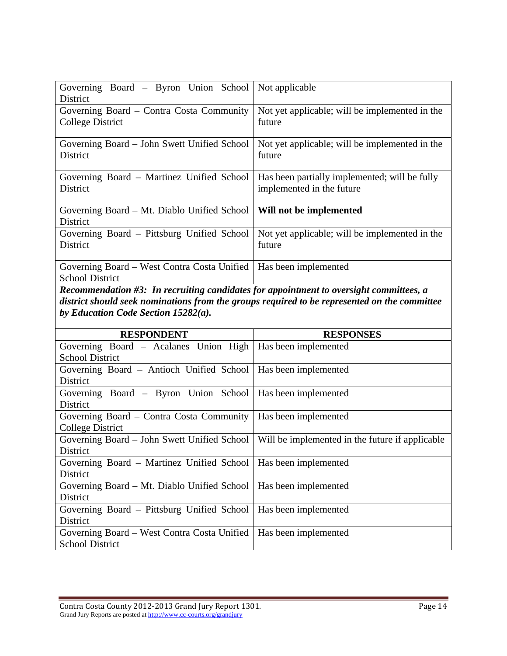| Governing Board – Byron Union School<br>District | Not applicable                                 |
|--------------------------------------------------|------------------------------------------------|
| Governing Board - Contra Costa Community         | Not yet applicable; will be implemented in the |
| <b>College District</b>                          | future                                         |
|                                                  |                                                |
| Governing Board – John Swett Unified School      | Not yet applicable; will be implemented in the |
| District                                         | future                                         |
|                                                  |                                                |
| Governing Board – Martinez Unified School        | Has been partially implemented; will be fully  |
| District                                         | implemented in the future                      |
|                                                  |                                                |
| Governing Board – Mt. Diablo Unified School      | Will not be implemented                        |
| <b>District</b>                                  |                                                |
| Governing Board – Pittsburg Unified School       | Not yet applicable; will be implemented in the |
| District                                         | future                                         |
|                                                  |                                                |
| Governing Board – West Contra Costa Unified      | Has been implemented                           |
| <b>School District</b>                           |                                                |

*Recommendation #3: In recruiting candidates for appointment to oversight committees, a district should seek nominations from the groups required to be represented on the committee by Education Code Section 15282(a).* 

| <b>RESPONDENT</b>                                               | <b>RESPONSES</b>                                |
|-----------------------------------------------------------------|-------------------------------------------------|
| Governing Board - Acalanes Union High                           | Has been implemented                            |
| <b>School District</b>                                          |                                                 |
| Governing Board – Antioch Unified School   Has been implemented |                                                 |
| District                                                        |                                                 |
| Governing Board – Byron Union School   Has been implemented     |                                                 |
| <b>District</b>                                                 |                                                 |
| Governing Board – Contra Costa Community                        | Has been implemented                            |
| College District                                                |                                                 |
| Governing Board – John Swett Unified School                     | Will be implemented in the future if applicable |
| District                                                        |                                                 |
| Governing Board - Martinez Unified School                       | Has been implemented                            |
| District                                                        |                                                 |
| Governing Board – Mt. Diablo Unified School                     | Has been implemented                            |
| District                                                        |                                                 |
| Governing Board – Pittsburg Unified School                      | Has been implemented                            |
| <b>District</b>                                                 |                                                 |
| Governing Board – West Contra Costa Unified                     | Has been implemented                            |
| <b>School District</b>                                          |                                                 |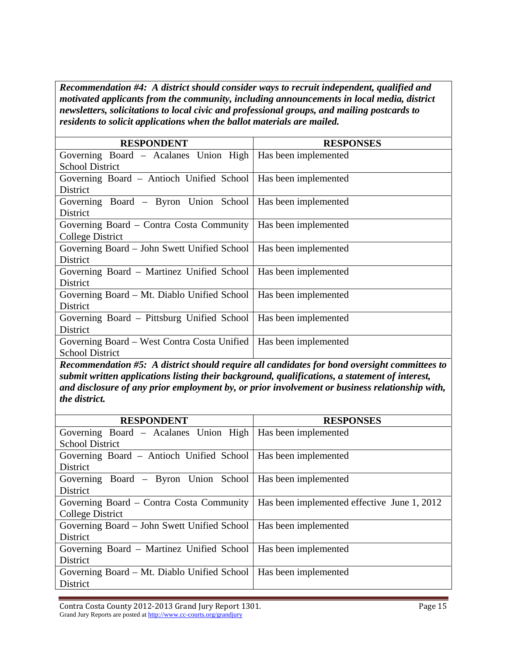*Recommendation #4: A district should consider ways to recruit independent, qualified and motivated applicants from the community, including announcements in local media, district newsletters, solicitations to local civic and professional groups, and mailing postcards to residents to solicit applications when the ballot materials are mailed.* 

| <b>RESPONDENT</b>                                                  | <b>RESPONSES</b>            |
|--------------------------------------------------------------------|-----------------------------|
| Governing Board - Acalanes Union High                              | Has been implemented        |
| <b>School District</b>                                             |                             |
| Governing Board - Antioch Unified School                           | Has been implemented        |
| <b>District</b>                                                    |                             |
| Governing Board – Byron Union School   Has been implemented        |                             |
| District                                                           |                             |
| Governing Board – Contra Costa Community   Has been implemented    |                             |
| College District                                                   |                             |
| Governing Board – John Swett Unified School   Has been implemented |                             |
| District                                                           |                             |
| Governing Board - Martinez Unified School                          | <b>Has been implemented</b> |
| District                                                           |                             |
| Governing Board – Mt. Diablo Unified School                        | Has been implemented        |
| District                                                           |                             |
| Governing Board – Pittsburg Unified School                         | Has been implemented        |
| District                                                           |                             |
| Governing Board – West Contra Costa Unified                        | Has been implemented        |
| <b>School District</b>                                             |                             |

*Recommendation #5: A district should require all candidates for bond oversight committees to submit written applications listing their background, qualifications, a statement of interest, and disclosure of any prior employment by, or prior involvement or business relationship with, the district.* 

| <b>RESPONDENT</b>                                                | <b>RESPONSES</b>                            |
|------------------------------------------------------------------|---------------------------------------------|
| Governing Board - Acalanes Union High                            | Has been implemented                        |
| <b>School District</b>                                           |                                             |
| Governing Board – Antioch Unified School   Has been implemented  |                                             |
| <b>District</b>                                                  |                                             |
| Governing Board – Byron Union School   Has been implemented      |                                             |
| District                                                         |                                             |
| Governing Board – Contra Costa Community                         | Has been implemented effective June 1, 2012 |
| College District                                                 |                                             |
| Governing Board – John Swett Unified School                      | Has been implemented                        |
| <b>District</b>                                                  |                                             |
| Governing Board – Martinez Unified School   Has been implemented |                                             |
| District                                                         |                                             |
| Governing Board – Mt. Diablo Unified School                      | Has been implemented                        |
| District                                                         |                                             |

Contra Costa County 2012‐2013 Grand Jury Report 1301. Page 15 Grand Jury Reports are posted at http://www.cc-courts.org/grandjury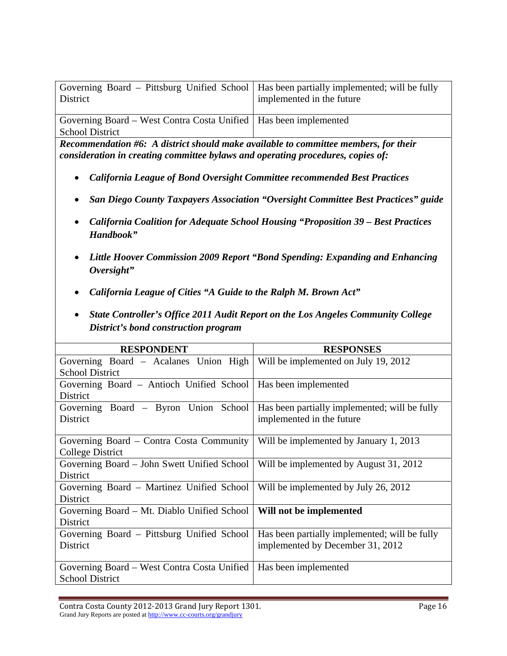| Governing Board – Pittsburg Unified School   Has been partially implemented; will be fully<br>District | implemented in the future |
|--------------------------------------------------------------------------------------------------------|---------------------------|
| Coverning Doord West Contro Costa Unified   Has been implemented                                       |                           |

Governing Board – West Contra Costa Unified Has been implemented School District

*Recommendation #6: A district should make available to committee members, for their consideration in creating committee bylaws and operating procedures, copies of:* 

- *California League of Bond Oversight Committee recommended Best Practices*
- *San Diego County Taxpayers Association "Oversight Committee Best Practices" guide*
- *California Coalition for Adequate School Housing "Proposition 39 Best Practices Handbook"*
- *Little Hoover Commission 2009 Report "Bond Spending: Expanding and Enhancing Oversight"*
- *California League of Cities "A Guide to the Ralph M. Brown Act"*
- *State Controller's Office 2011 Audit Report on the Los Angeles Community College District's bond construction program*

| <b>RESPONDENT</b>                           | <b>RESPONSES</b>                              |
|---------------------------------------------|-----------------------------------------------|
| Governing Board - Acalanes Union High       | Will be implemented on July 19, 2012          |
| <b>School District</b>                      |                                               |
| Governing Board – Antioch Unified School    | Has been implemented                          |
| <b>District</b>                             |                                               |
| Governing Board – Byron Union School        | Has been partially implemented; will be fully |
| District                                    | implemented in the future                     |
|                                             |                                               |
| Governing Board – Contra Costa Community    | Will be implemented by January 1, 2013        |
| College District                            |                                               |
| Governing Board – John Swett Unified School | Will be implemented by August 31, 2012        |
| District                                    |                                               |
| Governing Board – Martinez Unified School   | Will be implemented by July 26, 2012          |
| <b>District</b>                             |                                               |
| Governing Board – Mt. Diablo Unified School | Will not be implemented                       |
| District                                    |                                               |
| Governing Board – Pittsburg Unified School  | Has been partially implemented; will be fully |
| District                                    | implemented by December 31, 2012              |
|                                             |                                               |
| Governing Board – West Contra Costa Unified | Has been implemented                          |
| <b>School District</b>                      |                                               |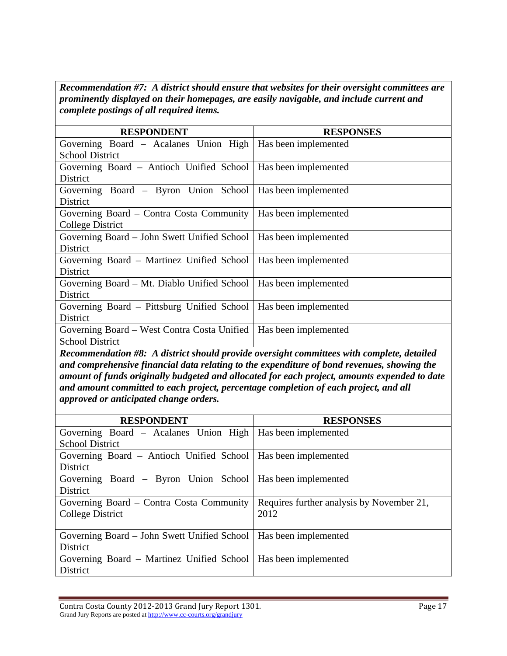*Recommendation #7: A district should ensure that websites for their oversight committees are prominently displayed on their homepages, are easily navigable, and include current and complete postings of all required items.* 

| <b>RESPONDENT</b>                                                        | <b>RESPONSES</b>                              |
|--------------------------------------------------------------------------|-----------------------------------------------|
| Governing Board – Acalanes Union High                                    | Has been implemented                          |
| <b>School District</b>                                                   |                                               |
| Governing Board – Antioch Unified School   Has been implemented          |                                               |
| District                                                                 |                                               |
| Governing Board – Byron Union School   Has been implemented              |                                               |
| District                                                                 |                                               |
| Governing Board – Contra Costa Community   Has been implemented          |                                               |
| College District                                                         |                                               |
| Governing Board – John Swett Unified School   Has been implemented       |                                               |
| District                                                                 |                                               |
| Governing Board – Martinez Unified School                                | Has been implemented                          |
| District                                                                 |                                               |
| Governing Board – Mt. Diablo Unified School                              | Has been implemented                          |
| District                                                                 |                                               |
| Governing Board – Pittsburg Unified School                               | Has been implemented                          |
| <b>District</b>                                                          |                                               |
| Governing Board – West Contra Costa Unified                              | Has been implemented                          |
| <b>School District</b>                                                   |                                               |
| $\cdot$ $\cdot$<br>$\mu$ , $\mu$ , $\mu$ , $\mu$ , $\mu$ , $\mu$ , $\mu$ | $\bullet$ . $\bullet$<br>.<br>$\cdot$ $\cdot$ |

*Recommendation #8: A district should provide oversight committees with complete, detailed and comprehensive financial data relating to the expenditure of bond revenues, showing the amount of funds originally budgeted and allocated for each project, amounts expended to date and amount committed to each project, percentage completion of each project, and all approved or anticipated change orders.* 

| <b>RESPONDENT</b>                                                | <b>RESPONSES</b>                          |
|------------------------------------------------------------------|-------------------------------------------|
| Governing Board – Acalanes Union High   Has been implemented     |                                           |
| <b>School District</b>                                           |                                           |
| Governing Board – Antioch Unified School   Has been implemented  |                                           |
| <b>District</b>                                                  |                                           |
| Governing Board - Byron Union School   Has been implemented      |                                           |
| District                                                         |                                           |
| Governing Board – Contra Costa Community                         | Requires further analysis by November 21, |
| College District                                                 | 2012                                      |
|                                                                  |                                           |
| Governing Board – John Swett Unified School                      | Has been implemented                      |
| District                                                         |                                           |
| Governing Board – Martinez Unified School   Has been implemented |                                           |
| <b>District</b>                                                  |                                           |

Contra Costa County 2012‐2013 Grand Jury Report 1301. Page 17 Grand Jury Reports are posted at http://www.cc-courts.org/grandjury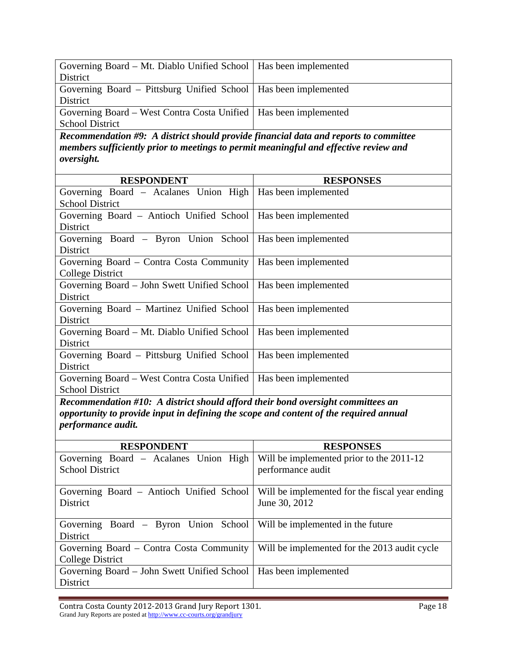| Governing Board - Mt. Diablo Unified School                                          | Has been implemented |
|--------------------------------------------------------------------------------------|----------------------|
| <b>District</b>                                                                      |                      |
| Governing Board - Pittsburg Unified School                                           | Has been implemented |
| <b>District</b>                                                                      |                      |
| Governing Board - West Contra Costa Unified                                          | Has been implemented |
| <b>School District</b>                                                               |                      |
| Recommendation #9: A district should provide financial data and reports to committee |                      |
| members sufficiently prior to meetings to permit meaningful and effective review and |                      |
| oversight.                                                                           |                      |
|                                                                                      |                      |
| <b>RESPONDENT</b>                                                                    | <b>RESPONSES</b>     |
| Governing Board - Acalanes Union High                                                | Has been implemented |
| <b>School District</b>                                                               |                      |
| Governing Board - Antioch Unified School                                             | Has been implemented |
| <b>District</b>                                                                      |                      |
| Governing Board - Byron Union School                                                 | Has been implemented |
| District                                                                             |                      |
| Governing Board - Contra Costa Community                                             | Has been implemented |
| <b>College District</b>                                                              |                      |
| Governing Board - John Swett Unified School                                          | Has been implemented |
| District                                                                             |                      |
| Governing Board - Martinez Unified School                                            | Has been implemented |
| District                                                                             |                      |
| Governing Board - Mt. Diablo Unified School                                          | Has been implemented |
| District                                                                             |                      |
| Governing Board – Pittsburg Unified School                                           | Has been implemented |
| District                                                                             |                      |
| Governing Board – West Contra Costa Unified                                          | Has been implemented |
| <b>School District</b>                                                               |                      |
|                                                                                      |                      |

*Recommendation #10: A district should afford their bond oversight committees an opportunity to provide input in defining the scope and content of the required annual performance audit.* 

| <b>RESPONDENT</b>                                                      | <b>RESPONSES</b>                               |
|------------------------------------------------------------------------|------------------------------------------------|
| Governing Board - Acalanes Union High                                  | Will be implemented prior to the 2011-12       |
| <b>School District</b>                                                 | performance audit                              |
| Governing Board – Antioch Unified School                               | Will be implemented for the fiscal year ending |
| <b>District</b>                                                        | June 30, 2012                                  |
| Governing Board – Byron Union School Will be implemented in the future |                                                |
| District                                                               |                                                |
| Governing Board – Contra Costa Community                               | Will be implemented for the 2013 audit cycle   |
| College District                                                       |                                                |
| Governing Board – John Swett Unified School                            | Has been implemented                           |
| District                                                               |                                                |

Contra Costa County 2012-2013 Grand Jury Report 1301. 
Page 18 Grand Jury Reports are posted at http://www.cc-courts.org/grandjury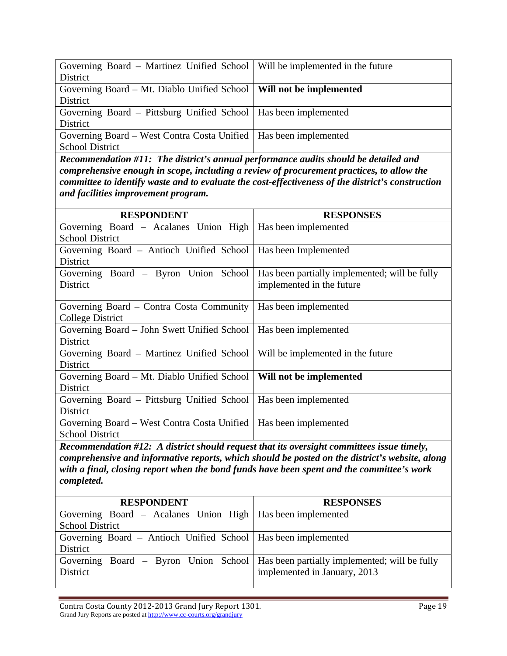| Governing Board – Martinez Unified School   Will be implemented in the future |  |
|-------------------------------------------------------------------------------|--|
| District                                                                      |  |
| Governing Board – Mt. Diablo Unified School   Will not be implemented         |  |
| District                                                                      |  |
| Governing Board – Pittsburg Unified School   Has been implemented             |  |
| District                                                                      |  |
| Governing Board – West Contra Costa Unified   Has been implemented            |  |
| <b>School District</b>                                                        |  |

*Recommendation #11: The district's annual performance audits should be detailed and comprehensive enough in scope, including a review of procurement practices, to allow the committee to identify waste and to evaluate the cost-effectiveness of the district's construction and facilities improvement program.* 

| <b>RESPONDENT</b>                                                                         | <b>RESPONSES</b>                                                                               |
|-------------------------------------------------------------------------------------------|------------------------------------------------------------------------------------------------|
| Governing Board – Acalanes Union High   Has been implemented                              |                                                                                                |
| <b>School District</b>                                                                    |                                                                                                |
| Governing Board - Antioch Unified School                                                  | Has been Implemented                                                                           |
| District                                                                                  |                                                                                                |
| Governing Board - Byron Union School                                                      | Has been partially implemented; will be fully                                                  |
| District                                                                                  | implemented in the future                                                                      |
|                                                                                           |                                                                                                |
| Governing Board – Contra Costa Community                                                  | Has been implemented                                                                           |
| <b>College District</b>                                                                   |                                                                                                |
| Governing Board – John Swett Unified School                                               | Has been implemented                                                                           |
| District                                                                                  |                                                                                                |
| Governing Board – Martinez Unified School                                                 | Will be implemented in the future                                                              |
| District                                                                                  |                                                                                                |
| Governing Board – Mt. Diablo Unified School                                               | Will not be implemented                                                                        |
| <b>District</b>                                                                           |                                                                                                |
| Governing Board - Pittsburg Unified School                                                | Has been implemented                                                                           |
| District                                                                                  |                                                                                                |
| Governing Board – West Contra Costa Unified                                               | Has been implemented                                                                           |
| <b>School District</b>                                                                    |                                                                                                |
| Recommendation #12: A district should request that its oversight committees issue timely, |                                                                                                |
|                                                                                           | comprehensive and informative reports, which should be posted on the district's website, along |
| with a final, closing report when the bond funds have been spent and the committee's work |                                                                                                |

*completed.* 

| <b>RESPONDENT</b>                                                                    | <b>RESPONSES</b>             |
|--------------------------------------------------------------------------------------|------------------------------|
| Governing Board - Acalanes Union High   Has been implemented                         |                              |
| <b>School District</b>                                                               |                              |
| Governing Board – Antioch Unified School   Has been implemented                      |                              |
| District                                                                             |                              |
| Governing Board – Byron Union School   Has been partially implemented; will be fully |                              |
| District                                                                             | implemented in January, 2013 |
|                                                                                      |                              |

Contra Costa County 2012-2013 Grand Jury Report 1301. Page 19 Grand Jury Reports are posted at http://www.cc-courts.org/grandjury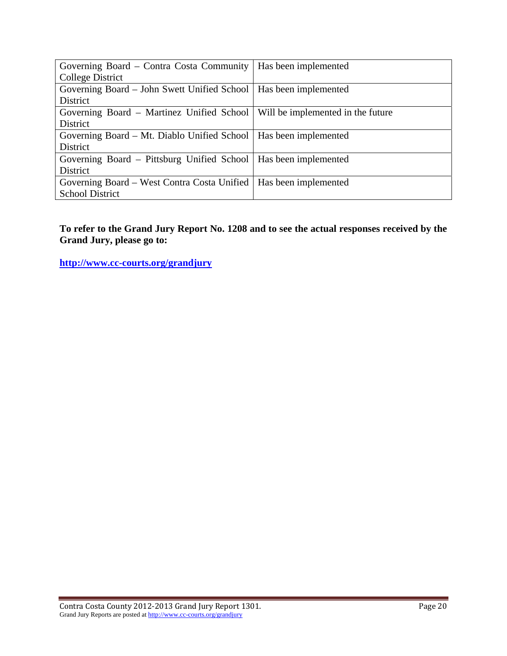| Governing Board – Contra Costa Community   Has been implemented               |  |
|-------------------------------------------------------------------------------|--|
| College District                                                              |  |
| Governing Board – John Swett Unified School   Has been implemented            |  |
| <b>District</b>                                                               |  |
| Governing Board – Martinez Unified School   Will be implemented in the future |  |
| District                                                                      |  |
| Governing Board – Mt. Diablo Unified School   Has been implemented            |  |
| District                                                                      |  |
| Governing Board - Pittsburg Unified School   Has been implemented             |  |
| District                                                                      |  |
| Governing Board – West Contra Costa Unified   Has been implemented            |  |
| <b>School District</b>                                                        |  |

**To refer to the Grand Jury Report No. 1208 and to see the actual responses received by the Grand Jury, please go to:**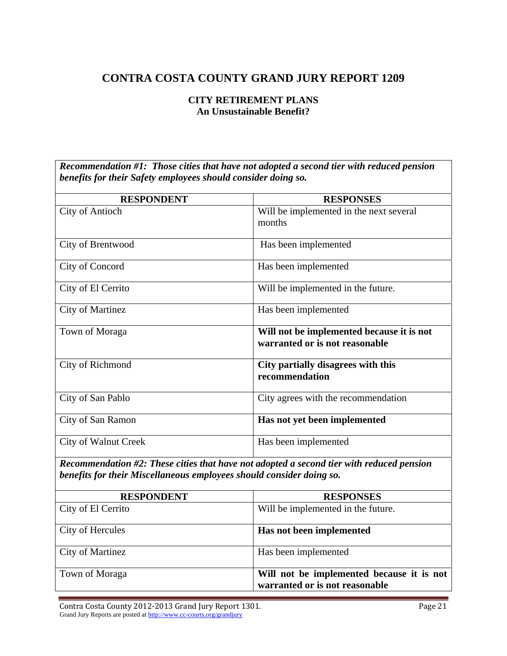#### **CITY RETIREMENT PLANS An Unsustainable Benefit?**

*Recommendation #1: Those cities that have not adopted a second tier with reduced pension benefits for their Safety employees should consider doing so.* 

| <b>RESPONDENT</b>                                                    | <b>RESPONSES</b>                                                                         |
|----------------------------------------------------------------------|------------------------------------------------------------------------------------------|
| <b>City of Antioch</b>                                               | Will be implemented in the next several                                                  |
|                                                                      | months                                                                                   |
| City of Brentwood                                                    | Has been implemented                                                                     |
| City of Concord                                                      | Has been implemented                                                                     |
| City of El Cerrito                                                   | Will be implemented in the future.                                                       |
| <b>City of Martinez</b>                                              | Has been implemented                                                                     |
| Town of Moraga                                                       | Will not be implemented because it is not                                                |
|                                                                      | warranted or is not reasonable                                                           |
| City of Richmond                                                     | City partially disagrees with this                                                       |
|                                                                      | recommendation                                                                           |
| City of San Pablo                                                    | City agrees with the recommendation                                                      |
| City of San Ramon                                                    | Has not yet been implemented                                                             |
| <b>City of Walnut Creek</b>                                          | Has been implemented                                                                     |
|                                                                      | Recommendation #2: These cities that have not adopted a second tier with reduced pension |
| benefits for their Miscellaneous employees should consider doing so. |                                                                                          |
| <b>RESPONDENT</b>                                                    | <b>RESPONSES</b>                                                                         |
| City of El Cerrito                                                   | Will be implemented in the future.                                                       |
| City of Hercules                                                     | Has not been implemented                                                                 |
| <b>City of Martinez</b>                                              | Has been implemented                                                                     |
| Town of Moraga                                                       | Will not be implemented because it is not<br>warranted or is not reasonable              |

Contra Costa County 2012-2013 Grand Jury Report 1301. Page 21 Grand Jury Reports are posted at http://www.cc-courts.org/grandjury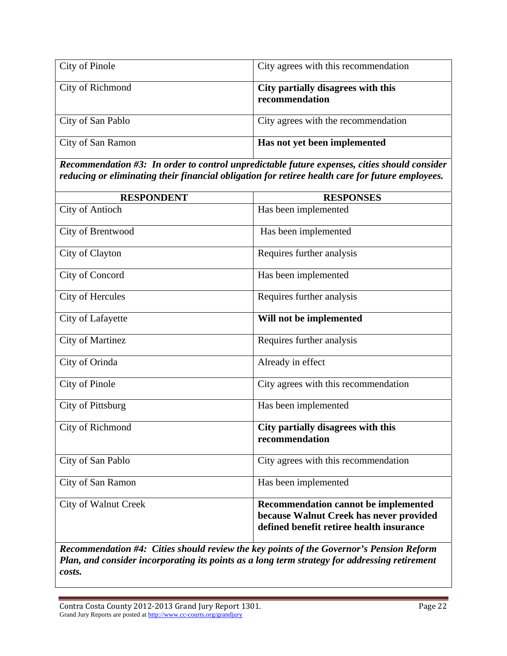| City of Pinole    | City agrees with this recommendation                 |
|-------------------|------------------------------------------------------|
| City of Richmond  | City partially disagrees with this<br>recommendation |
| City of San Pablo | City agrees with the recommendation                  |
| City of San Ramon | Has not yet been implemented                         |

*Recommendation #3: In order to control unpredictable future expenses, cities should consider reducing or eliminating their financial obligation for retiree health care for future employees.* 

| <b>RESPONDENT</b>           | <b>RESPONSES</b>                                                                                                            |
|-----------------------------|-----------------------------------------------------------------------------------------------------------------------------|
| <b>City of Antioch</b>      | Has been implemented                                                                                                        |
| City of Brentwood           | Has been implemented                                                                                                        |
| City of Clayton             | Requires further analysis                                                                                                   |
| City of Concord             | Has been implemented                                                                                                        |
| City of Hercules            | Requires further analysis                                                                                                   |
| City of Lafayette           | Will not be implemented                                                                                                     |
| <b>City of Martinez</b>     | Requires further analysis                                                                                                   |
| City of Orinda              | Already in effect                                                                                                           |
| <b>City of Pinole</b>       | City agrees with this recommendation                                                                                        |
| City of Pittsburg           | Has been implemented                                                                                                        |
| City of Richmond            | City partially disagrees with this<br>recommendation                                                                        |
| City of San Pablo           | City agrees with this recommendation                                                                                        |
| City of San Ramon           | Has been implemented                                                                                                        |
| <b>City of Walnut Creek</b> | Recommendation cannot be implemented<br>because Walnut Creek has never provided<br>defined benefit retiree health insurance |

*Recommendation #4: Cities should review the key points of the Governor's Pension Reform Plan, and consider incorporating its points as a long term strategy for addressing retirement costs.* 

Contra Costa County 2012-2013 Grand Jury Report 1301. Page 22 Grand Jury Reports are posted at http://www.cc-courts.org/grandjury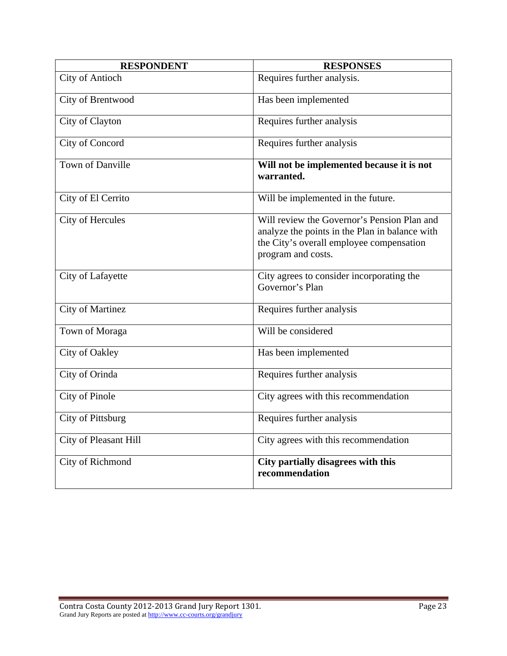| <b>RESPONDENT</b>       | <b>RESPONSES</b>                                                                                                                                                |
|-------------------------|-----------------------------------------------------------------------------------------------------------------------------------------------------------------|
| <b>City of Antioch</b>  | Requires further analysis.                                                                                                                                      |
| City of Brentwood       | Has been implemented                                                                                                                                            |
| City of Clayton         | Requires further analysis                                                                                                                                       |
| City of Concord         | Requires further analysis                                                                                                                                       |
| <b>Town of Danville</b> | Will not be implemented because it is not<br>warranted.                                                                                                         |
| City of El Cerrito      | Will be implemented in the future.                                                                                                                              |
| City of Hercules        | Will review the Governor's Pension Plan and<br>analyze the points in the Plan in balance with<br>the City's overall employee compensation<br>program and costs. |
| City of Lafayette       | City agrees to consider incorporating the<br>Governor's Plan                                                                                                    |
| <b>City of Martinez</b> | Requires further analysis                                                                                                                                       |
| Town of Moraga          | Will be considered                                                                                                                                              |
| City of Oakley          | Has been implemented                                                                                                                                            |
| City of Orinda          | Requires further analysis                                                                                                                                       |
| City of Pinole          | City agrees with this recommendation                                                                                                                            |
| City of Pittsburg       | Requires further analysis                                                                                                                                       |
| City of Pleasant Hill   | City agrees with this recommendation                                                                                                                            |
| City of Richmond        | City partially disagrees with this<br>recommendation                                                                                                            |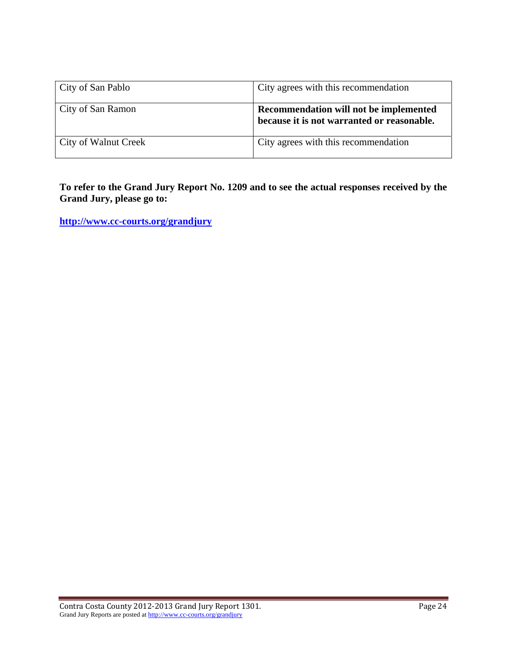| City of San Pablo           | City agrees with this recommendation                                                 |
|-----------------------------|--------------------------------------------------------------------------------------|
| City of San Ramon           | Recommendation will not be implemented<br>because it is not warranted or reasonable. |
| <b>City of Walnut Creek</b> | City agrees with this recommendation                                                 |

**To refer to the Grand Jury Report No. 1209 and to see the actual responses received by the Grand Jury, please go to:**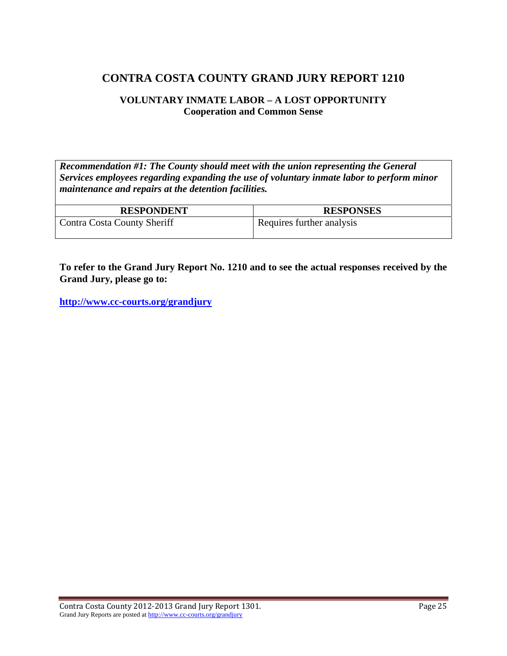#### **VOLUNTARY INMATE LABOR – A LOST OPPORTUNITY Cooperation and Common Sense**

*Recommendation #1: The County should meet with the union representing the General Services employees regarding expanding the use of voluntary inmate labor to perform minor maintenance and repairs at the detention facilities.* 

| <b>RESPONDENT</b>           | <b>RESPONSES</b>          |
|-----------------------------|---------------------------|
| Contra Costa County Sheriff | Requires further analysis |

**To refer to the Grand Jury Report No. 1210 and to see the actual responses received by the Grand Jury, please go to:**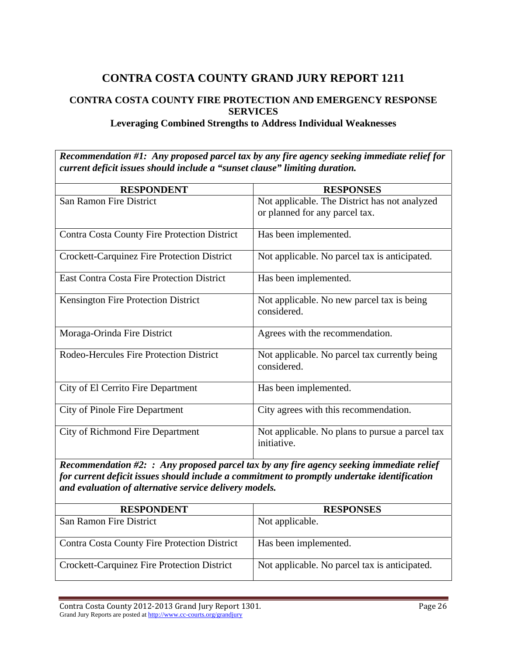## **CONTRA COSTA COUNTY FIRE PROTECTION AND EMERGENCY RESPONSE SERVICES**

#### **Leveraging Combined Strengths to Address Individual Weaknesses**

*Recommendation #1: Any proposed parcel tax by any fire agency seeking immediate relief for current deficit issues should include a "sunset clause" limiting duration.* 

| <b>RESPONDENT</b>                                   | <b>RESPONSES</b>                                               |
|-----------------------------------------------------|----------------------------------------------------------------|
| San Ramon Fire District                             | Not applicable. The District has not analyzed                  |
|                                                     | or planned for any parcel tax.                                 |
| <b>Contra Costa County Fire Protection District</b> | Has been implemented.                                          |
| Crockett-Carquinez Fire Protection District         | Not applicable. No parcel tax is anticipated.                  |
| <b>East Contra Costa Fire Protection District</b>   | Has been implemented.                                          |
| <b>Kensington Fire Protection District</b>          | Not applicable. No new parcel tax is being<br>considered.      |
|                                                     |                                                                |
| Moraga-Orinda Fire District                         | Agrees with the recommendation.                                |
| Rodeo-Hercules Fire Protection District             | Not applicable. No parcel tax currently being                  |
|                                                     | considered.                                                    |
| City of El Cerrito Fire Department                  | Has been implemented.                                          |
| <b>City of Pinole Fire Department</b>               | City agrees with this recommendation.                          |
| City of Richmond Fire Department                    | Not applicable. No plans to pursue a parcel tax<br>initiative. |
|                                                     |                                                                |

*Recommendation #2: : Any proposed parcel tax by any fire agency seeking immediate relief for current deficit issues should include a commitment to promptly undertake identification and evaluation of alternative service delivery models.* 

| <b>RESPONDENT</b>                                   | <b>RESPONSES</b>                              |
|-----------------------------------------------------|-----------------------------------------------|
| San Ramon Fire District                             | Not applicable.                               |
| <b>Contra Costa County Fire Protection District</b> | Has been implemented.                         |
| <b>Crockett-Carquinez Fire Protection District</b>  | Not applicable. No parcel tax is anticipated. |

Contra Costa County 2012‐2013 Grand Jury Report 1301. Page 26 Grand Jury Reports are posted at http://www.cc-courts.org/grandjury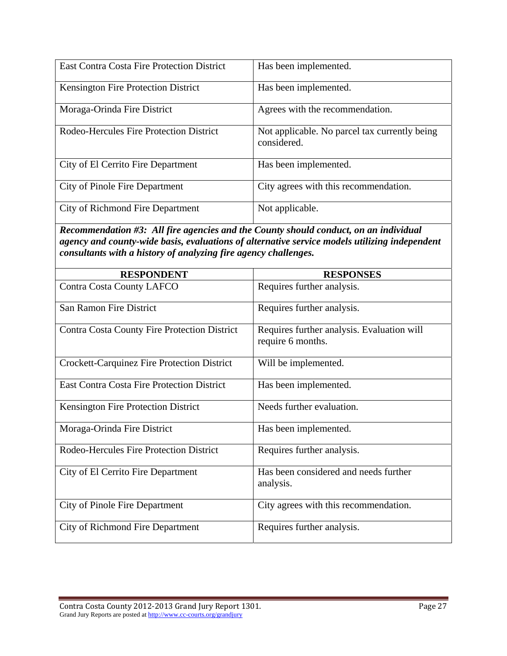| <b>East Contra Costa Fire Protection District</b> | Has been implemented.                                        |
|---------------------------------------------------|--------------------------------------------------------------|
| Kensington Fire Protection District               | Has been implemented.                                        |
| Moraga-Orinda Fire District                       | Agrees with the recommendation.                              |
| Rodeo-Hercules Fire Protection District           | Not applicable. No parcel tax currently being<br>considered. |
| City of El Cerrito Fire Department                | Has been implemented.                                        |
| City of Pinole Fire Department                    | City agrees with this recommendation.                        |
| City of Richmond Fire Department                  | Not applicable.                                              |

*Recommendation #3: All fire agencies and the County should conduct, on an individual agency and county-wide basis, evaluations of alternative service models utilizing independent consultants with a history of analyzing fire agency challenges.* 

| <b>RESPONDENT</b>                                   | <b>RESPONSES</b>                                                |
|-----------------------------------------------------|-----------------------------------------------------------------|
| <b>Contra Costa County LAFCO</b>                    | Requires further analysis.                                      |
| San Ramon Fire District                             | Requires further analysis.                                      |
| <b>Contra Costa County Fire Protection District</b> | Requires further analysis. Evaluation will<br>require 6 months. |
| <b>Crockett-Carquinez Fire Protection District</b>  | Will be implemented.                                            |
| <b>East Contra Costa Fire Protection District</b>   | Has been implemented.                                           |
| Kensington Fire Protection District                 | Needs further evaluation.                                       |
| Moraga-Orinda Fire District                         | Has been implemented.                                           |
| Rodeo-Hercules Fire Protection District             | Requires further analysis.                                      |
| City of El Cerrito Fire Department                  | Has been considered and needs further<br>analysis.              |
| City of Pinole Fire Department                      | City agrees with this recommendation.                           |
| <b>City of Richmond Fire Department</b>             | Requires further analysis.                                      |

Contra Costa County 2012-2013 Grand Jury Report 1301. Page 27 Grand Jury Reports are posted at http://www.cc-courts.org/grandjury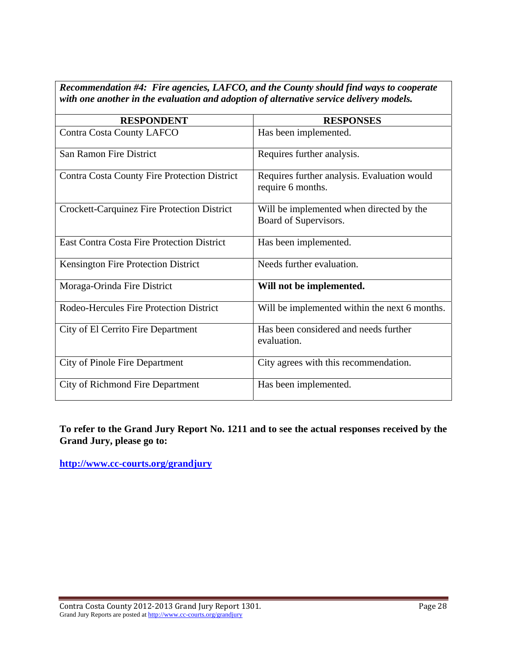*Recommendation #4: Fire agencies, LAFCO, and the County should find ways to cooperate with one another in the evaluation and adoption of alternative service delivery models.* 

| <b>RESPONDENT</b>                                   | <b>RESPONSES</b>                                                  |
|-----------------------------------------------------|-------------------------------------------------------------------|
| <b>Contra Costa County LAFCO</b>                    | Has been implemented.                                             |
| <b>San Ramon Fire District</b>                      | Requires further analysis.                                        |
| <b>Contra Costa County Fire Protection District</b> | Requires further analysis. Evaluation would<br>require 6 months.  |
| <b>Crockett-Carquinez Fire Protection District</b>  | Will be implemented when directed by the<br>Board of Supervisors. |
| <b>East Contra Costa Fire Protection District</b>   | Has been implemented.                                             |
| Kensington Fire Protection District                 | Needs further evaluation.                                         |
| Moraga-Orinda Fire District                         | Will not be implemented.                                          |
| Rodeo-Hercules Fire Protection District             | Will be implemented within the next 6 months.                     |
| City of El Cerrito Fire Department                  | Has been considered and needs further<br>evaluation.              |
| City of Pinole Fire Department                      | City agrees with this recommendation.                             |
| City of Richmond Fire Department                    | Has been implemented.                                             |

**To refer to the Grand Jury Report No. 1211 and to see the actual responses received by the Grand Jury, please go to:**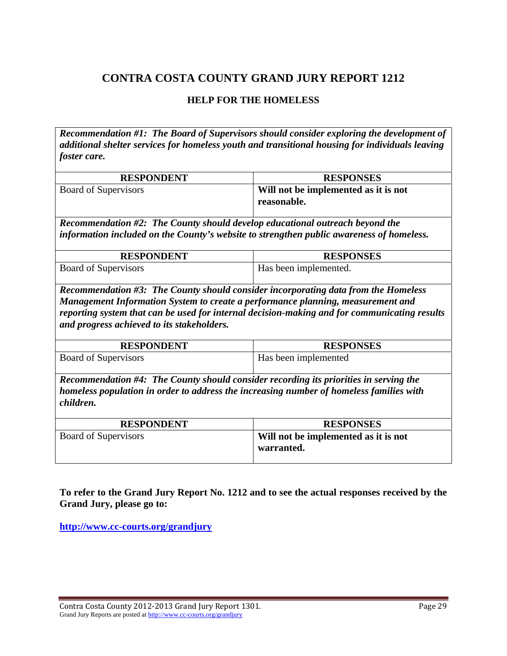#### **HELP FOR THE HOMELESS**

*Recommendation #1: The Board of Supervisors should consider exploring the development of additional shelter services for homeless youth and transitional housing for individuals leaving foster care.* 

| <b>RESPONDENT</b>    | <b>RESPONSES</b>                                    |
|----------------------|-----------------------------------------------------|
| Board of Supervisors | Will not be implemented as it is not<br>reasonable. |

*Recommendation #2: The County should develop educational outreach beyond the information included on the County's website to strengthen public awareness of homeless.* 

| <b>RESPONDENT</b>           | <b>RESPONSES</b>      |
|-----------------------------|-----------------------|
| <b>Board of Supervisors</b> | Has been implemented. |

*Recommendation #3: The County should consider incorporating data from the Homeless Management Information System to create a performance planning, measurement and reporting system that can be used for internal decision-making and for communicating results and progress achieved to its stakeholders.* 

| <b>RESPONDENT</b>           | <b>RESPONSES</b>     |
|-----------------------------|----------------------|
| <b>Board of Supervisors</b> | Has been implemented |

*Recommendation #4: The County should consider recording its priorities in serving the homeless population in order to address the increasing number of homeless families with children.* 

| <b>RESPONDENT</b>    | <b>RESPONSES</b>                                   |
|----------------------|----------------------------------------------------|
| Board of Supervisors | Will not be implemented as it is not<br>warranted. |

**To refer to the Grand Jury Report No. 1212 and to see the actual responses received by the Grand Jury, please go to:** 

Contra Costa County 2012‐2013 Grand Jury Report 1301. Page 29 Grand Jury Reports are posted at http://www.cc-courts.org/grandjury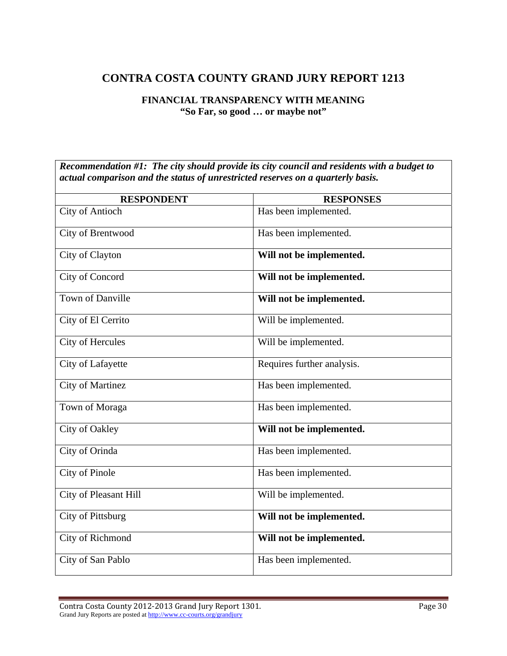## **FINANCIAL TRANSPARENCY WITH MEANING "So Far, so good … or maybe not"**

*Recommendation #1: The city should provide its city council and residents with a budget to actual comparison and the status of unrestricted reserves on a quarterly basis.* 

| <b>RESPONDENT</b>       | <b>RESPONSES</b>           |
|-------------------------|----------------------------|
| City of Antioch         | Has been implemented.      |
| City of Brentwood       | Has been implemented.      |
| City of Clayton         | Will not be implemented.   |
| City of Concord         | Will not be implemented.   |
| Town of Danville        | Will not be implemented.   |
| City of El Cerrito      | Will be implemented.       |
| City of Hercules        | Will be implemented.       |
| City of Lafayette       | Requires further analysis. |
| <b>City of Martinez</b> | Has been implemented.      |
| Town of Moraga          | Has been implemented.      |
| City of Oakley          | Will not be implemented.   |
| City of Orinda          | Has been implemented.      |
| City of Pinole          | Has been implemented.      |
| City of Pleasant Hill   | Will be implemented.       |
| City of Pittsburg       | Will not be implemented.   |
| City of Richmond        | Will not be implemented.   |
| City of San Pablo       | Has been implemented.      |

Contra Costa County 2012-2013 Grand Jury Report 1301. 
Bage 30 Grand Jury Reports are posted at http://www.cc-courts.org/grandjury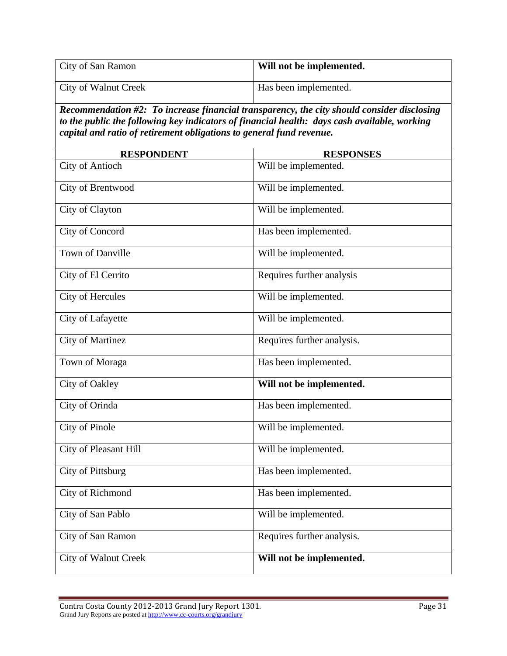| City of San Ramon                                                                                                                                                                                                                                                  | Will not be implemented.   |  |
|--------------------------------------------------------------------------------------------------------------------------------------------------------------------------------------------------------------------------------------------------------------------|----------------------------|--|
| City of Walnut Creek                                                                                                                                                                                                                                               | Has been implemented.      |  |
| Recommendation #2: To increase financial transparency, the city should consider disclosing<br>to the public the following key indicators of financial health: days cash available, working<br>capital and ratio of retirement obligations to general fund revenue. |                            |  |
| <b>RESPONDENT</b>                                                                                                                                                                                                                                                  | <b>RESPONSES</b>           |  |
| <b>City of Antioch</b>                                                                                                                                                                                                                                             | Will be implemented.       |  |
| City of Brentwood                                                                                                                                                                                                                                                  | Will be implemented.       |  |
| City of Clayton                                                                                                                                                                                                                                                    | Will be implemented.       |  |
| City of Concord                                                                                                                                                                                                                                                    | Has been implemented.      |  |
| <b>Town of Danville</b>                                                                                                                                                                                                                                            | Will be implemented.       |  |
| City of El Cerrito                                                                                                                                                                                                                                                 | Requires further analysis  |  |
| City of Hercules                                                                                                                                                                                                                                                   | Will be implemented.       |  |
| City of Lafayette                                                                                                                                                                                                                                                  | Will be implemented.       |  |
| <b>City of Martinez</b>                                                                                                                                                                                                                                            | Requires further analysis. |  |
| Town of Moraga                                                                                                                                                                                                                                                     | Has been implemented.      |  |
| City of Oakley                                                                                                                                                                                                                                                     | Will not be implemented.   |  |
| City of Orinda                                                                                                                                                                                                                                                     | Has been implemented.      |  |
| City of Pinole                                                                                                                                                                                                                                                     | Will be implemented.       |  |
| City of Pleasant Hill                                                                                                                                                                                                                                              | Will be implemented.       |  |
| City of Pittsburg                                                                                                                                                                                                                                                  | Has been implemented.      |  |
| City of Richmond                                                                                                                                                                                                                                                   | Has been implemented.      |  |
| City of San Pablo                                                                                                                                                                                                                                                  | Will be implemented.       |  |
| City of San Ramon                                                                                                                                                                                                                                                  | Requires further analysis. |  |
| <b>City of Walnut Creek</b>                                                                                                                                                                                                                                        | Will not be implemented.   |  |

Contra Costa County 2012‐2013 Grand Jury Report 1301. Page 31 Grand Jury Reports are posted at http://www.cc-courts.org/grandjury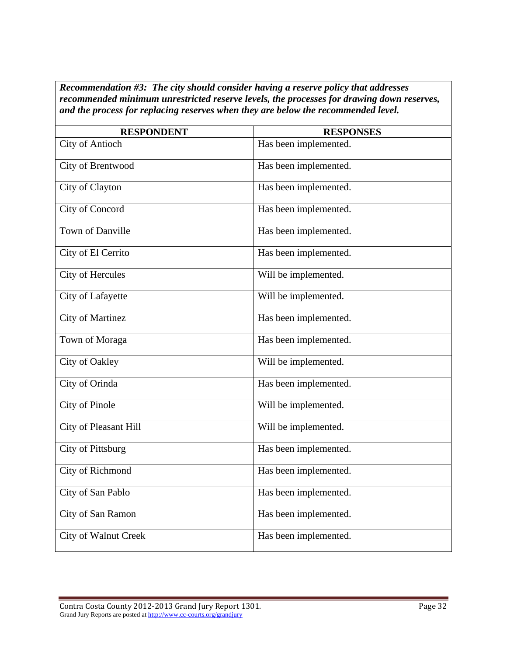*Recommendation #3: The city should consider having a reserve policy that addresses recommended minimum unrestricted reserve levels, the processes for drawing down reserves, and the process for replacing reserves when they are below the recommended level.* 

| <b>RESPONDENT</b>           | <b>RESPONSES</b>      |
|-----------------------------|-----------------------|
| <b>City of Antioch</b>      | Has been implemented. |
| City of Brentwood           | Has been implemented. |
| City of Clayton             | Has been implemented. |
| City of Concord             | Has been implemented. |
| Town of Danville            | Has been implemented. |
| City of El Cerrito          | Has been implemented. |
| City of Hercules            | Will be implemented.  |
| City of Lafayette           | Will be implemented.  |
| <b>City of Martinez</b>     | Has been implemented. |
| Town of Moraga              | Has been implemented. |
| City of Oakley              | Will be implemented.  |
| City of Orinda              | Has been implemented. |
| <b>City of Pinole</b>       | Will be implemented.  |
| City of Pleasant Hill       | Will be implemented.  |
| City of Pittsburg           | Has been implemented. |
| City of Richmond            | Has been implemented. |
| City of San Pablo           | Has been implemented. |
| City of San Ramon           | Has been implemented. |
| <b>City of Walnut Creek</b> | Has been implemented. |
|                             |                       |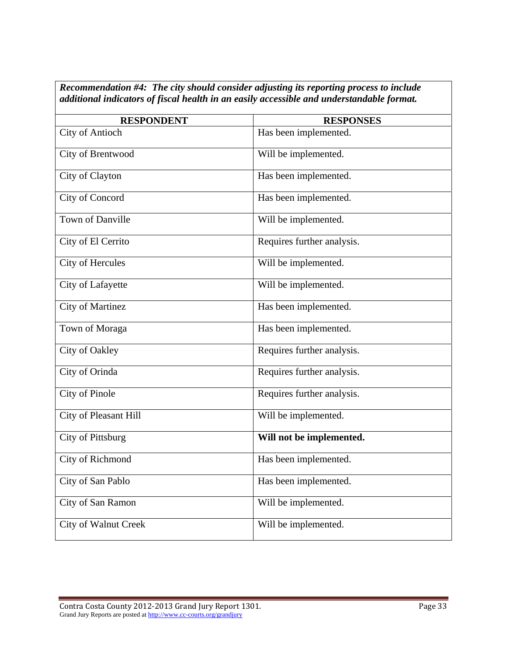| <b>RESPONDENT</b>       | <b>RESPONSES</b>           |
|-------------------------|----------------------------|
| <b>City of Antioch</b>  | Has been implemented.      |
| City of Brentwood       | Will be implemented.       |
| City of Clayton         | Has been implemented.      |
| City of Concord         | Has been implemented.      |
| <b>Town of Danville</b> | Will be implemented.       |
| City of El Cerrito      | Requires further analysis. |
| <b>City of Hercules</b> | Will be implemented.       |
| City of Lafayette       | Will be implemented.       |
| <b>City of Martinez</b> | Has been implemented.      |
| Town of Moraga          | Has been implemented.      |
| City of Oakley          | Requires further analysis. |
| City of Orinda          | Requires further analysis. |
| City of Pinole          | Requires further analysis. |
| City of Pleasant Hill   | Will be implemented.       |
| City of Pittsburg       | Will not be implemented.   |
| City of Richmond        | Has been implemented.      |
| City of San Pablo       | Has been implemented.      |
| City of San Ramon       | Will be implemented.       |
| City of Walnut Creek    | Will be implemented.       |

*Recommendation #4: The city should consider adjusting its reporting process to include additional indicators of fiscal health in an easily accessible and understandable format.*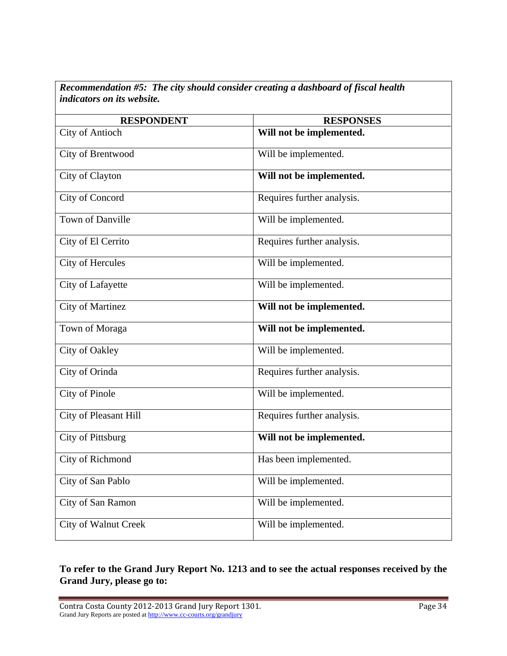*Recommendation #5: The city should consider creating a dashboard of fiscal health indicators on its website.* 

| <b>RESPONDENT</b>           | <b>RESPONSES</b>           |
|-----------------------------|----------------------------|
| <b>City of Antioch</b>      | Will not be implemented.   |
| City of Brentwood           | Will be implemented.       |
| City of Clayton             | Will not be implemented.   |
| City of Concord             | Requires further analysis. |
| <b>Town of Danville</b>     | Will be implemented.       |
| City of El Cerrito          | Requires further analysis. |
| City of Hercules            | Will be implemented.       |
| City of Lafayette           | Will be implemented.       |
| <b>City of Martinez</b>     | Will not be implemented.   |
| Town of Moraga              | Will not be implemented.   |
| City of Oakley              | Will be implemented.       |
| City of Orinda              | Requires further analysis. |
| <b>City of Pinole</b>       | Will be implemented.       |
| City of Pleasant Hill       | Requires further analysis. |
| City of Pittsburg           | Will not be implemented.   |
| City of Richmond            | Has been implemented.      |
| City of San Pablo           | Will be implemented.       |
| City of San Ramon           | Will be implemented.       |
| <b>City of Walnut Creek</b> | Will be implemented.       |

## **To refer to the Grand Jury Report No. 1213 and to see the actual responses received by the Grand Jury, please go to:**

Contra Costa County 2012-2013 Grand Jury Report 1301. Page 34 Grand Jury Reports are posted at http://www.cc-courts.org/grandjury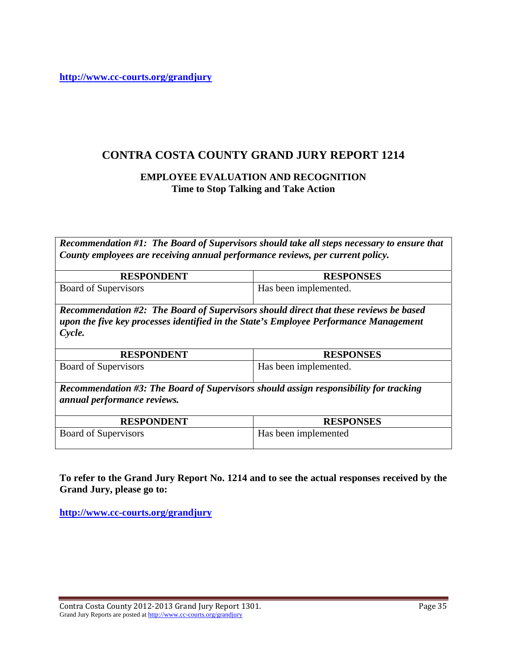**<http://www.cc-courts.org/grandjury>**

## **CONTRA COSTA COUNTY GRAND JURY REPORT 1214**

#### **EMPLOYEE EVALUATION AND RECOGNITION Time to Stop Talking and Take Action**

*Recommendation #1: The Board of Supervisors should take all steps necessary to ensure that County employees are receiving annual performance reviews, per current policy.* 

| <b>RESPONDENT</b>    | <b>RESPONSES</b>      |
|----------------------|-----------------------|
| Board of Supervisors | Has been implemented. |

*Recommendation #2: The Board of Supervisors should direct that these reviews be based upon the five key processes identified in the State's Employee Performance Management Cycle.* 

| <b>RESPONDENT</b>           | <b>RESPONSES</b>      |
|-----------------------------|-----------------------|
| <b>Board of Supervisors</b> | Has been implemented. |

*Recommendation #3: The Board of Supervisors should assign responsibility for tracking annual performance reviews.* 

| <b>RESPONDENT</b>    | <b>RESPONSES</b>     |
|----------------------|----------------------|
| Board of Supervisors | Has been implemented |

**To refer to the Grand Jury Report No. 1214 and to see the actual responses received by the Grand Jury, please go to:**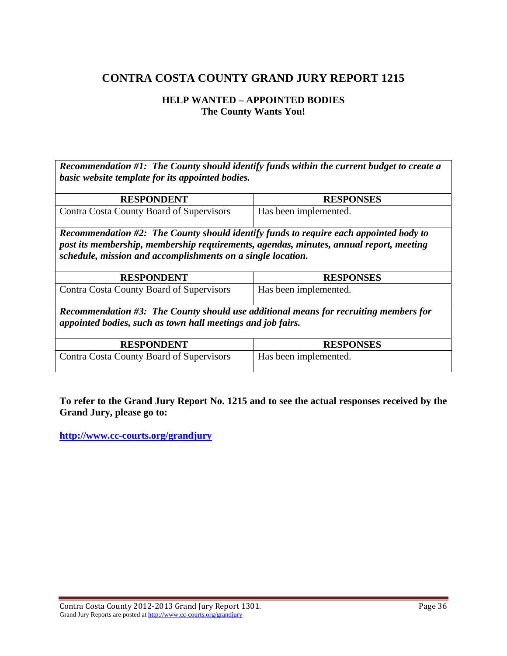#### **HELP WANTED – APPOINTED BODIES The County Wants You!**

*Recommendation #1: The County should identify funds within the current budget to create a basic website template for its appointed bodies.* 

| <b>RESPONDENT</b>                                                                                                                                                                                                                              | <b>RESPONSES</b>      |  |
|------------------------------------------------------------------------------------------------------------------------------------------------------------------------------------------------------------------------------------------------|-----------------------|--|
| Contra Costa County Board of Supervisors                                                                                                                                                                                                       | Has been implemented. |  |
| Recommendation #2: The County should identify funds to require each appointed body to<br>post its membership, membership requirements, agendas, minutes, annual report, meeting<br>schedule, mission and accomplishments on a single location. |                       |  |
| <b>RESPONDENT</b>                                                                                                                                                                                                                              | <b>RESPONSES</b>      |  |
| Contra Costa County Board of Supervisors                                                                                                                                                                                                       | Has been implemented. |  |
| Recommendation #3: The County should use additional means for recruiting members for<br>appointed bodies, such as town hall meetings and job fairs.                                                                                            |                       |  |
| <b>RESPONDENT</b>                                                                                                                                                                                                                              | <b>RESPONSES</b>      |  |
| Contra Costa County Board of Supervisors                                                                                                                                                                                                       | Has been implemented. |  |

**To refer to the Grand Jury Report No. 1215 and to see the actual responses received by the Grand Jury, please go to:**